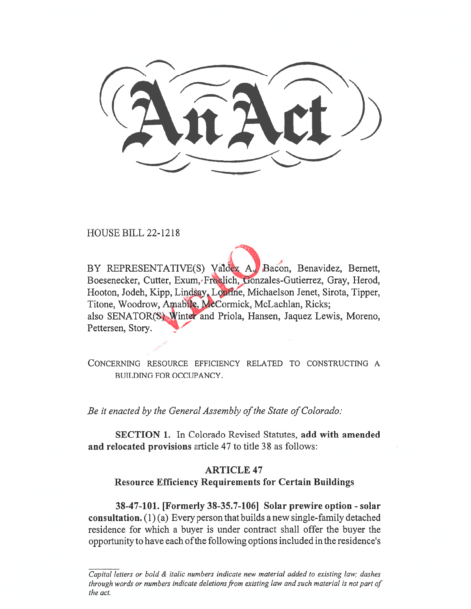HOUSE BILL 22-1218

BY REPRESENTATIVE(S) Valdex A. Bacon, Benavidez, Bernett, Boesenecker, Cutter, Exum, Freelich, Gonzales-Gutierrez, Gray, Herod, Hooton, Jodeh, Kipp, Lindsay, Lontine, Michaelson Jenet, Sirota, Tipper, Titone, Woodrow, Amabile, McCormick, McLachlan, Ricks; also SENATOR(S) Winter and Priola, Hansen, Jaquez Lewis, Moreno, Pettersen, Story.

CONCERNING RESOURCE EFFICIENCY RELATED TO CONSTRUCTING A BUILDING FOR OCCUPANCY.

Be it enacted by the General Assembly of the State of Colorado:

SECTION 1. In Colorado Revised Statutes, add with amended and relocated provisions article 47 to title 38 as follows:

# ARTICLE 47 Resource Efficiency Requirements for Certain Buildings

38-47-101. [Formerly 38-35.7-106] Solar prewire option - solar consultation. (1) (a) Every person that builds a new single-family detached residence for which a buyer is under contract shall offer the buyer the opportunity to have each of the following options included in the residence's

Capital letters or bold & italic numbers indicate new material added to existing law; dashes through words or numbers indicate deletions from existing law and such material is not part of the act.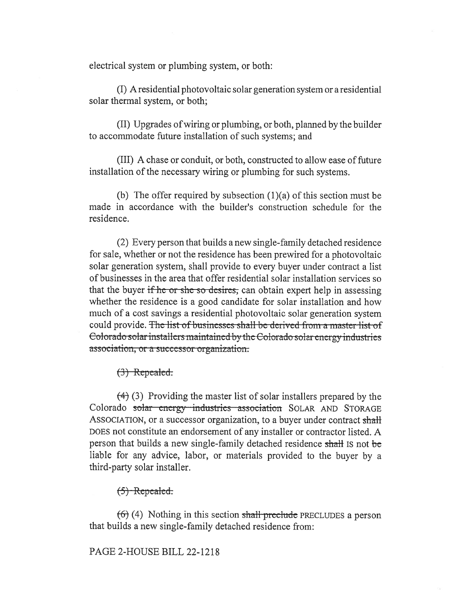electrical system or plumbing system, or both:

(I) A residential photovoltaic solar generation system or a residential solar thermal system, or both;

(II) Upgrades of wiring or plumbing, or both, planned by the builder to accommodate future installation of such systems; and

(III) A chase or conduit, or both, constructed to allow ease of future installation of the necessary wiring or plumbing for such systems.

(b) The offer required by subsection  $(1)(a)$  of this section must be made in accordance with the builder's construction schedule for the residence.

(2) Every person that builds a new single-family detached residence for sale, whether or not the residence has been prewired for a photovoltaic solar generation system, shall provide to every buyer under contract a list of businesses in the area that offer residential solar installation services so that the buyer if he or she so desires, can obtain expert help in assessing whether the residence is a good candidate for solar installation and how much of a cost savings a residential photovoltaic solar generation system could provide. The list of businesses shall be derived from a master list of Eolorado solar installers maintained by the Colorado solar energy industries association, or a successor organization.

 $(3)$  Repealed.

 $(4)$  (3) Providing the master list of solar installers prepared by the Colorado solar energy industries association SOLAR AND STORAGE ASSOCIATION, or a successor organization, to a buyer under contract shall DOES not constitute an endorsement of any installer or contractor listed. A person that builds a new single-family detached residence shall Is not be liable for any advice, labor, or materials provided to the buyer by a third-party solar installer.

 $(5)$  Repealed.

 $(6)$  (4) Nothing in this section shall preclude PRECLUDES a person that builds a new single-family detached residence from:

PAGE 2-HOUSE BILL 22-1218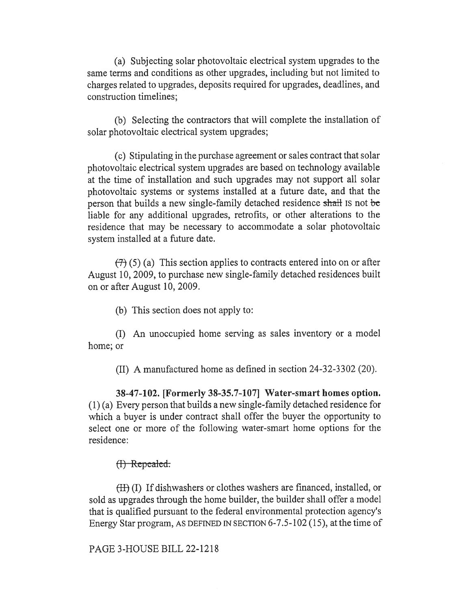(a) Subjecting solar photovoltaic electrical system upgrades to the same terms and conditions as other upgrades, including but not limited to charges related to upgrades, deposits required for upgrades, deadlines, and construction timelines;

(b) Selecting the contractors that will complete the installation of solar photovoltaic electrical system upgrades;

(c) Stipulating in the purchase agreement or sales contract that solar photovoltaic electrical system upgrades are based on technology available at the time of installation and such upgrades may not support all solar photovoltaic systems or systems installed at a future date, and that the person that builds a new single-family detached residence shall is not be liable for any additional upgrades, retrofits, or other alterations to the residence that may be necessary to accommodate a solar photovoltaic system installed at a future date.

 $(7)$  (5) (a) This section applies to contracts entered into on or after August 10, 2009, to purchase new single-family detached residences built on or after August 10, 2009.

(b) This section does not apply to:

(I) An unoccupied home serving as sales inventory or a model home; or

(II) A manufactured home as defined in section 24-32-3302 (20).

38-47-102. [Formerly 38-35.7-107] Water-smart homes option. (1) (a) Every person that builds a new single-family detached residence for which a buyer is under contract shall offer the buyer the opportunity to select one or more of the following water-smart home options for the residence:

### $(f)$  Repealed.

(H) (I) If dishwashers or clothes washers are financed, installed, or sold as upgrades through the home builder, the builder shall offer a model that is qualified pursuant to the federal environmental protection agency's Energy Star program, AS DEFINED IN SECTION 6-7.5-102 (15), at the time of

PAGE 3-HOUSE BILL 22-1218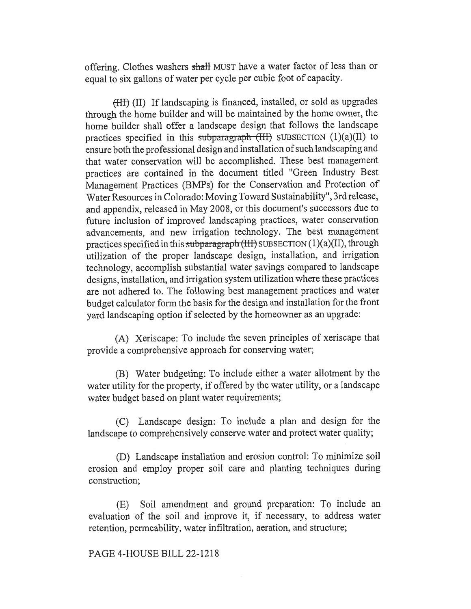offering. Clothes washers shall MUST have a water factor of less than or equal to six gallons of water per cycle per cubic foot of capacity.

(HII) If landscaping is financed, installed, or sold as upgrades through the home builder and will be maintained by the home owner, the home builder shall offer a landscape design that follows the landscape practices specified in this subparagraph (III) SUBSECTION  $(1)(a)(II)$  to ensure both the professional design and installation of such landscaping and that water conservation will be accomplished. These best management practices are contained in the document titled "Green Industry Best Management Practices (BMPs) for the Conservation and Protection of Water Resources in Colorado: Moving Toward Sustainability", 3rd release, and appendix, released in May 2008, or this document's successors due to future inclusion of improved landscaping practices, water conservation advancements, and new irrigation technology. The best management practices specified in this subparagraph  $(HH)$  SUBSECTION  $(1)(a)(II)$ , through utilization of the proper landscape design, installation, and irrigation technology, accomplish substantial water savings compared to landscape designs, installation, and irrigation system utilization where these practices are not adhered to. The following best management practices and water budget calculator form the basis for the design and installation for the front yard landscaping option if selected by the homeowner as an upgrade:

(A) Xeriscape: To include the seven principles of xeriscape that provide a comprehensive approach for conserving water;

(B) Water budgeting: To include either a water allotment by the water utility for the property, if offered by the water utility, or a landscape water budget based on plant water requirements;

(C) Landscape design: To include a plan and design for the landscape to comprehensively conserve water and protect water quality;

(D) Landscape installation and erosion control: To minimize soil erosion and employ proper soil care and planting techniques during construction;

(E) Soil amendment and ground preparation: To include an evaluation of the soil and improve it, if necessary, to address water retention, permeability, water infiltration, aeration, and structure;

### PAGE 4-HOUSE BILL 22-1218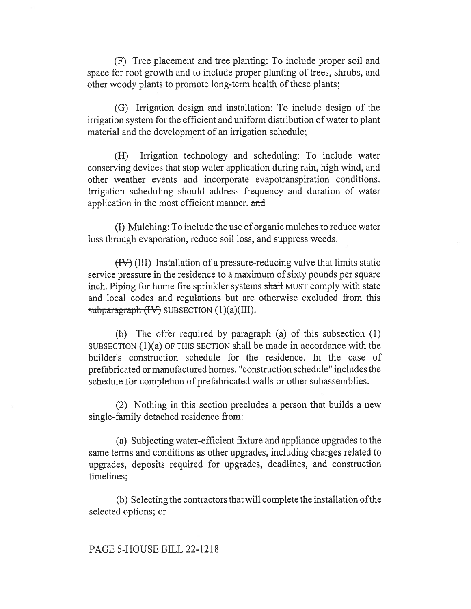(F) Tree placement and tree planting: To include proper soil and space for root growth and to include proper planting of trees, shrubs, and other woody plants to promote long-term health of these plants;

(G) Irrigation design and installation: To include design of the irrigation system for the efficient and uniform distribution of water to plant material and the development of an irrigation schedule;

(H) Irrigation technology and scheduling: To include water conserving devices that stop water application during rain, high wind, and other weather events and incorporate evapotranspiration conditions. Irrigation scheduling should address frequency and duration of water application in the most efficient manner. and

(I) Mulching: To include the use of organic mulches to reduce water loss through evaporation, reduce soil loss, and suppress weeds.

 $(HV)$  (III) Installation of a pressure-reducing valve that limits static service pressure in the residence to a maximum of sixty pounds per square inch. Piping for home fire sprinkler systems shall MUST comply with state and local codes and regulations but are otherwise excluded from this subparagraph  $(HV)$  SUBSECTION  $(1)(a)(III)$ .

(b) The offer required by paragraph  $(a)$  of this subsection  $(1)$ SUBSECTION (1)(a) OF THIS SECTION shall be made in accordance with the builder's construction schedule for the residence. In the case of prefabricated or manufactured homes, "construction schedule" includes the schedule for completion of prefabricated walls or other subassemblies.

(2) Nothing in this section precludes a person that builds a new single-family detached residence from:

(a) Subjecting water-efficient fixture and appliance upgrades to the same terms and conditions as other upgrades, including charges related to upgrades, deposits required for upgrades, deadlines, and construction timelines;

(b) Selecting the contractors that will complete the installation ofthe selected options; or

## PAGE 5-HOUSE BILL 22-1218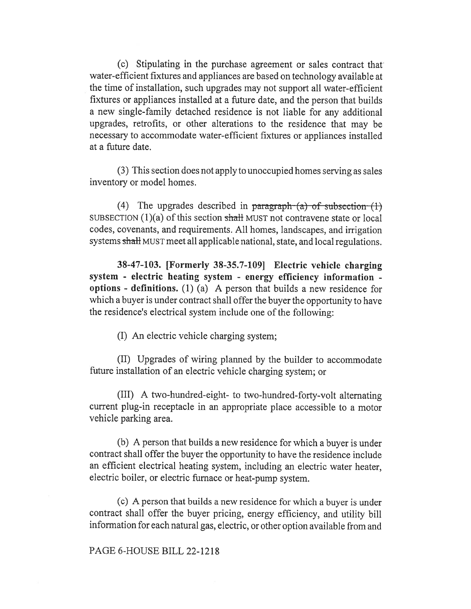(c) Stipulating in the purchase agreement or sales contract that water-efficient fixtures and appliances are based on technology available at the time of installation, such upgrades may not support all water-efficient fixtures or appliances installed at a future date, and the person that builds a new single-family detached residence is not liable for any additional upgrades, retrofits, or other alterations to the residence that may be necessary to accommodate water-efficient fixtures or appliances installed at a future date.

(3) This section does not apply to unoccupied homes serving as sales inventory or model homes.

(4) The upgrades described in paragraph— $(a)$  of subsection— $(1)$ SUBSECTION  $(1)(a)$  of this section shall MUST not contravene state or local codes, covenants, and requirements. All homes, landscapes, and irrigation systems shall MUST meet all applicable national, state, and local regulations.

38-47-103. [Formerly 38-35.7-109] Electric vehicle charging system - electric heating system - energy efficiency information options - definitions. (1) (a) A person that builds a new residence for which a buyer is under contract shall offer the buyer the opportunity to have the residence's electrical system include one of the following:

(I) An electric vehicle charging system;

(II) Upgrades of wiring planned by the builder to accommodate future installation of an electric vehicle charging system; or

(III) A two-hundred-eight- to two-hundred-forty-volt alternating current plug-in receptacle in an appropriate place accessible to a motor vehicle parking area.

(b) A person that builds a new residence for which a buyer is under contract shall offer the buyer the opportunity to have the residence include an efficient electrical heating system, including an electric water heater, electric boiler, or electric furnace or heat-pump system.

(c) A person that builds a new residence for which a buyer is under contract shall offer the buyer pricing, energy efficiency, and utility bill information for each natural gas, electric, or other option available from and

## PAGE 6-HOUSE BILL 22-1218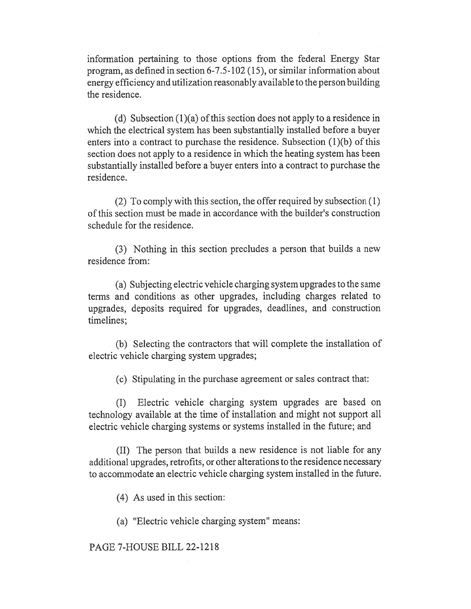information pertaining to those options from the federal Energy Star program, as defined in section 6-7.5-102 (15), or similar information about energy efficiency and utilization reasonably available to the person building the residence.

(d) Subsection (1)(a) of this section does not apply to a residence in which the electrical system has been substantially installed before a buyer enters into a contract to purchase the residence. Subsection (1)(b) of this section does not apply to a residence in which the heating system has been substantially installed before a buyer enters into a contract to purchase the residence.

(2) To comply with this section, the offer required by subsection (1) of this section must be made in accordance with the builder's construction schedule for the residence.

(3) Nothing in this section precludes a person that builds a new residence from:

(a) Subjecting electric vehicle charging system upgrades to the same terms and conditions as other upgrades, including charges related to upgrades, deposits required for upgrades, deadlines, and construction timelines;

(b) Selecting the contractors that will complete the installation of electric vehicle charging system upgrades;

(c) Stipulating in the purchase agreement or sales contract that:

(I) Electric vehicle charging system upgrades are based on technology available at the time of installation and might not support all electric vehicle charging systems or systems installed in the future; and

(II) The person that builds a new residence is not liable for any additional upgrades, retrofits, or other alterations to the residence necessary to accommodate an electric vehicle charging system installed in the future.

(4) As used in this section:

(a) "Electric vehicle charging system" means:

# PAGE 7-HOUSE BILL 22-1218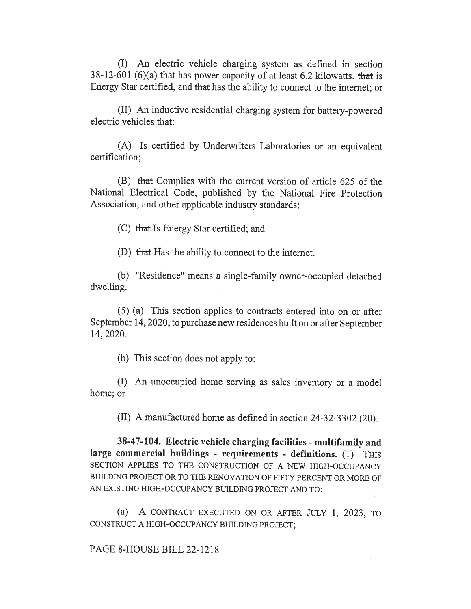(I) An electric vehicle charging system as defined in section 38-12-601 (6)(a) that has power capacity of at least 6.2 kilowatts, that is Energy Star certified, and that has the ability to connect to the internet; or

(II) An inductive residential charging system for battery-powered electric vehicles that:

(A) Is certified by Underwriters Laboratories or an equivalent certification;

(B) that Complies with the current version of article 625 of the National Electrical Code, published by the National Fire Protection Association, and other applicable industry standards;

(C) that Is Energy Star certified; and

(D) that Has the ability to connect to the internet.

(b) "Residence" means a single-family owner-occupied detached dwelling.

(5) (a) This section applies to contracts entered into on or after September 14, 2020, to purchase new residences built on or after September 14, 2020.

(b) This section does not apply to:

(I) An unoccupied home serving as sales inventory or a model home; or

(II) A manufactured home as defined in section 24-32-3302 (20).

38-47-104. Electric vehicle charging facilities - multifamily and large commercial buildings - requirements - definitions. (1) THIS SECTION APPLIES TO THE CONSTRUCTION OF A NEW HIGH-OCCUPANCY BUILDING PROJECT OR TO THE RENOVATION OF FIFTY PERCENT OR MORE OF AN EXISTING HIGH-OCCUPANCY BUILDING PROJECT AND TO:

(a) A CONTRACT EXECUTED ON OR AFTER JULY 1, 2023, TO CONSTRUCT A HIGH-OCCUPANCY BUILDING PROJECT;

PAGE 8-HOUSE BILL 22-1218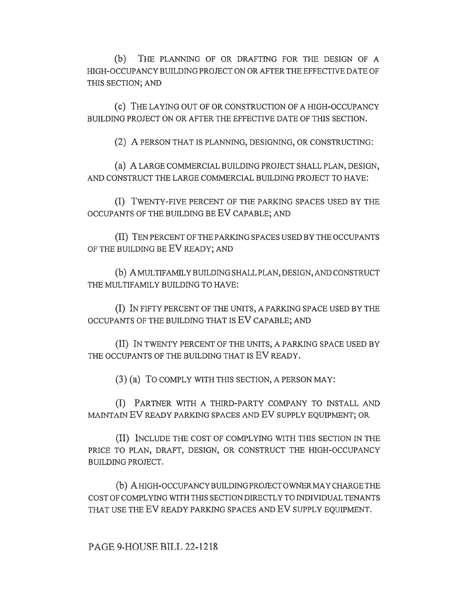(b) THE PLANNING OF OR DRAFTING FOR THE DESIGN OF A HIGH-OCCUPANCY BUILDING PROJECT ON OR AFTER THE EFFECTIVE DATE OF THIS SECTION; AND

(c) THE LAYING OUT OF OR CONSTRUCTION OF A HIGH-OCCUPANCY BUILDING PROJECT ON OR AFTER THE EFFECTIVE DATE OF THIS SECTION.

(2) A PERSON THAT IS PLANNING, DESIGNING, OR CONSTRUCTING:

(a) A LARGE COMMERCIAL BUILDING PROJECT SHALL PLAN, DESIGN, AND CONSTRUCT THE LARGE COMMERCIAL BUILDING PROJECT TO HAVE:

(I) TWENTY-FIVE PERCENT OF THE PARKING SPACES USED BY THE OCCUPANTS OF THE BUILDING BE EV CAPABLE; AND

(II) TEN PERCENT OF THE PARKING SPACES USED BY THE OCCUPANTS OF THE BUILDING BE EV READY; AND

(b) A MULTIFAMILY BUILDING SHALL PLAN, DESIGN, AND CONSTRUCT THE MULTIFAMILY BUILDING TO HAVE:

(I) IN FIFTY PERCENT OF THE UNITS, A PARKING SPACE USED BY THE OCCUPANTS OF THE BUILDING THAT IS EV CAPABLE; AND

(II) IN TWENTY PERCENT OF THE UNITS, A PARKING SPACE USED BY THE OCCUPANTS OF THE BUILDING THAT IS EV READY.

(3) (a) To COMPLY WITH THIS SECTION, A PERSON MAY:

(I) PARTNER WITH A THIRD-PARTY COMPANY TO INSTALL AND MAINTAIN EV READY PARKING SPACES AND EV SUPPLY EQUIPMENT; OR

(II) INCLUDE THE COST OF COMPLYING WITH THIS SECTION IN THE PRICE TO PLAN, DRAFT, DESIGN, OR CONSTRUCT THE HIGH-OCCUPANCY BUILDING PROJECT.

(b) A HIGH-OCCUPANCY BUILDING PROJECT OWNER MAY CHARGE THE COST OF COMPLYING WITH THIS SECTION DIRECTLY TO INDIVIDUAL TENANTS THAT USE THE EV READY PARKING SPACES AND EV SUPPLY EQUIPMENT.

PAGE 9-HOUSE BILL 22-1218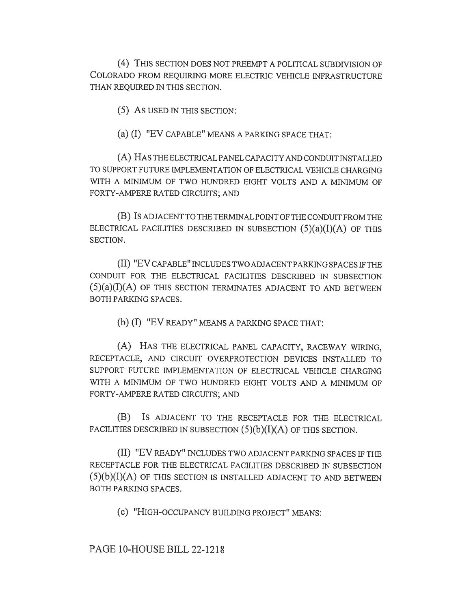(4) THIS SECTION DOES NOT PREEMPT A POLITICAL SUBDIVISION OF COLORADO FROM REQUIRING MORE ELECTRIC VEHICLE INFRASTRUCTURE THAN REQUIRED IN THIS SECTION.

(5) AS USED IN THIS SECTION:

(a) (I) "EV CAPABLE" MEANS A PARKING SPACE THAT:

(A) HAS THE ELECTRICAL PANEL CAPACITY AND CONDUIT INSTALLED TO SUPPORT FUTURE IMPLEMENTATION OF ELECTRICAL VEHICLE CHARGING WITH A MINIMUM OF TWO HUNDRED EIGHT VOLTS AND A MINIMUM OF FORTY-AMPERE RATED CIRCUITS; AND

(B) IS ADJACENT TO THE TERMINAL POINT OF THE CONDUIT FROM THE ELECTRICAL FACILITIES DESCRIBED IN SUBSECTION  $(5)(a)(I)(A)$  OF THIS SECTION.

(II) "EV CAPABLE" INCLUDES TWO ADJACENT PARKING SPACES IF THE CONDUIT FOR THE ELECTRICAL FACILITIES DESCRIBED IN SUBSECTION  $(5)(a)(I)(A)$  OF THIS SECTION TERMINATES ADJACENT TO AND BETWEEN BOTH PARKING SPACES.

(b) (I) "EV READY" MEANS A PARKING SPACE THAT:

(A) HAS THE ELECTRICAL PANEL CAPACITY, RACEWAY WIRING, RECEPTACLE, AND CIRCUIT OVERPROTECTION DEVICES INSTALLED TO SUPPORT FUTURE IMPLEMENTATION OF ELECTRICAL VEHICLE CHARGING WITH A MINIMUM OF TWO HUNDRED EIGHT VOLTS AND A MINIMUM OF FORTY-AMPERE RATED CIRCUITS; AND

(B) IS ADJACENT TO THE RECEPTACLE FOR THE ELECTRICAL FACILITIES DESCRIBED IN SUBSECTION  $(5)(b)(I)(A)$  OF THIS SECTION.

(II) "EV READY" INCLUDES TWO ADJACENT PARKING SPACES IF THE RECEPTACLE FOR THE ELECTRICAL FACILITIES DESCRIBED IN SUBSECTION  $(5)(b)(I)(A)$  of this section is installed adjacent to and between BOTH PARKING SPACES.

(c) "HIGH-OCCUPANCY BUILDING PROJECT" MEANS:

PAGE 10-HOUSE BILL 22-1218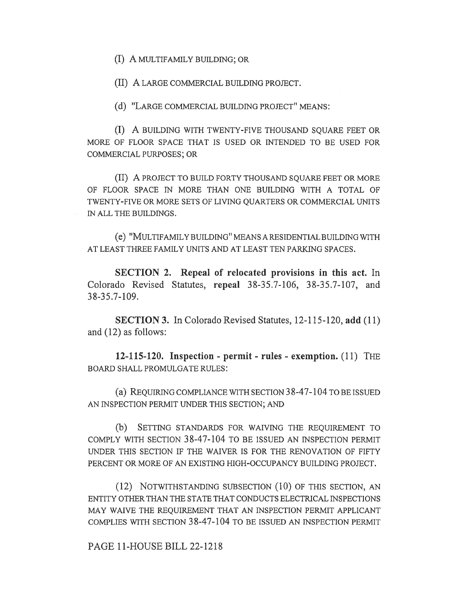(I) A MULTIFAMILY BUILDING; OR

(II) A LARGE COMMERCIAL BUILDING PROJECT.

(d) "LARGE COMMERCIAL BUILDING PROJECT" MEANS:

(I) A BUILDING WITH TWENTY-FIVE THOUSAND SQUARE FEET OR MORE OF FLOOR SPACE THAT IS USED OR INTENDED TO BE USED FOR COMMERCIAL PURPOSES; OR

(II) A PROJECT TO BUILD FORTY THOUSAND SQUARE FEET OR MORE OF FLOOR SPACE IN MORE THAN ONE BUILDING WITH A TOTAL OF TWENTY-FIVE OR MORE SETS OF LIVING QUARTERS OR COMMERCIAL UNITS IN ALL THE BUILDINGS.

(e) "MULTIFAMILY BUILDING" MEANS A RESIDENTIAL BUILDING WITH AT LEAST THREE FAMILY UNITS AND AT LEAST TEN PARKING SPACES.

SECTION 2. Repeal of relocated provisions in this act. In Colorado Revised Statutes, repeal 38-35.7-106, 38-35.7-107, and 38-35.7-109.

SECTION 3. In Colorado Revised Statutes, 12-115-120, add (11) and (12) as follows:

12-115-120. Inspection - permit - rules - exemption. (11) THE BOARD SHALL PROMULGATE RULES:

(a) REQUIRING COMPLIANCE WITH SECTION 38-47-104 TO BE ISSUED AN INSPECTION PERMIT UNDER THIS SECTION; AND

(b) SETTING STANDARDS FOR WAIVING THE REQUIREMENT TO COMPLY WITH SECTION 38-47-104 TO BE ISSUED AN INSPECTION PERMIT UNDER THIS SECTION IF THE WAIVER IS FOR THE RENOVATION OF FIFTY PERCENT OR MORE OF AN EXISTING HIGH-OCCUPANCY BUILDING PROJECT.

(12) NOTWITHSTANDING SUBSECTION (10) OF THIS SECTION, AN ENTITY OTHER THAN THE STATE THAT CONDUCTS ELECTRICAL INSPECTIONS MAY WAIVE THE REQUIREMENT THAT AN INSPECTION PERMIT APPLICANT COMPLIES WITH SECTION 38-47-104 TO BE ISSUED AN INSPECTION PERMIT

PAGE 11-HOUSE BILL 22-1218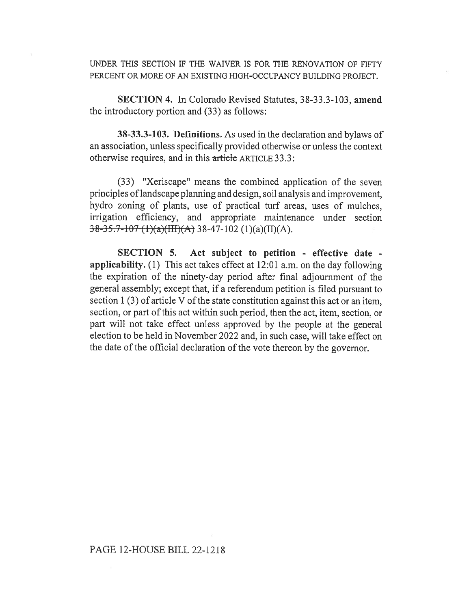UNDER THIS SECTION IF THE WAIVER IS FOR THE RENOVATION OF FIFTY PERCENT OR MORE OF AN EXISTING HIGH-OCCUPANCY BUILDING PROJECT.

SECTION 4. In Colorado Revised Statutes, 38-33.3-103, amend the introductory portion and (33) as follows:

38-33.3-103. Definitions. As used in the declaration and bylaws of an association, unless specifically provided otherwise or unless the context otherwise requires, and in this article ARTICLE 33.3:

(33) "Xeriscape" means the combined application of the seven principles of landscape planning and design, soil analysis and improvement, hydro zoning of plants, use of practical turf areas, uses of mulches, irrigation efficiency, and appropriate maintenance under section  $38-35.7-107$  (1)(a)(III)(A) 38-47-102 (1)(a)(II)(A).

SECTION 5. Act subject to petition - effective date applicability. (1) This act takes effect at 12:01 a.m. on the day following the expiration of the ninety-day period after final adjournment of the general assembly; except that, if a referendum petition is filed pursuant to section 1 (3) of article V of the state constitution against this act or an item, section, or part of this act within such period, then the act, item, section, or part will not take effect unless approved by the people at the general election to be held in November 2022 and, in such case, will take effect on the date of the official declaration of the vote thereon by the governor.